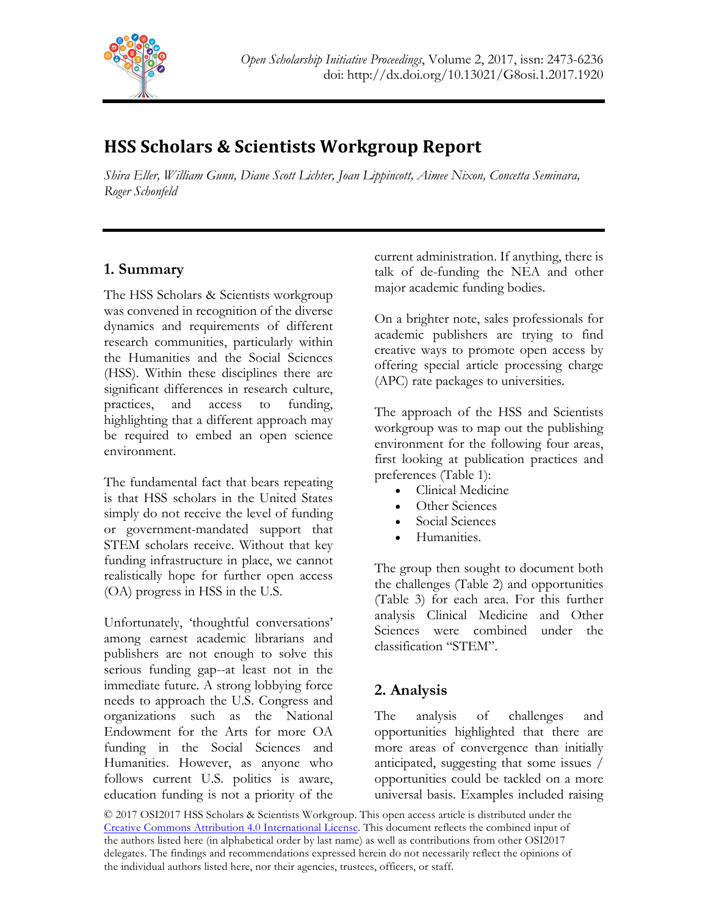

# **HSS Scholars & Scientists Workgroup Report**

*Shira Eller, William Gunn, Diane Scott Lichter, Joan Lippincott, Aimee Nixon, Concetta Seminara, Roger Schonfeld*

# **1. Summary**

The HSS Scholars & Scientists workgroup was convened in recognition of the diverse dynamics and requirements of different research communities, particularly within the Humanities and the Social Sciences (HSS). Within these disciplines there are significant differences in research culture, practices, and access to funding, highlighting that a different approach may be required to embed an open science environment.

The fundamental fact that bears repeating is that HSS scholars in the United States simply do not receive the level of funding or government-mandated support that STEM scholars receive. Without that key funding infrastructure in place, we cannot realistically hope for further open access (OA) progress in HSS in the U.S.

Unfortunately, 'thoughtful conversations' among earnest academic librarians and publishers are not enough to solve this serious funding gap--at least not in the immediate future. A strong lobbying force needs to approach the U.S. Congress and organizations such as the National Endowment for the Arts for more OA funding in the Social Sciences and Humanities. However, as anyone who follows current U.S. politics is aware, education funding is not a priority of the

current administration. If anything, there is talk of de-funding the NEA and other major academic funding bodies.

On a brighter note, sales professionals for academic publishers are trying to find creative ways to promote open access by offering special article processing charge (APC) rate packages to universities.

The approach of the HSS and Scientists workgroup was to map out the publishing environment for the following four areas, first looking at publication practices and preferences (Table 1):

- Clinical Medicine
- Other Sciences
- Social Sciences
- Humanities.

The group then sought to document both the challenges (Table 2) and opportunities (Table 3) for each area. For this further analysis Clinical Medicine and Other Sciences were combined under the classification "STEM".

# **2. Analysis**

The analysis of challenges and opportunities highlighted that there are more areas of convergence than initially anticipated, suggesting that some issues / opportunities could be tackled on a more universal basis. Examples included raising

© 2017 OSI2017 HSS Scholars & Scientists Workgroup. This open access article is distributed under the Creative Commons Attribution 4.0 International License. This document reflects the combined input of the authors listed here (in alphabetical order by last name) as well as contributions from other OSI2017 delegates. The findings and recommendations expressed herein do not necessarily reflect the opinions of the individual authors listed here, nor their agencies, trustees, officers, or staff.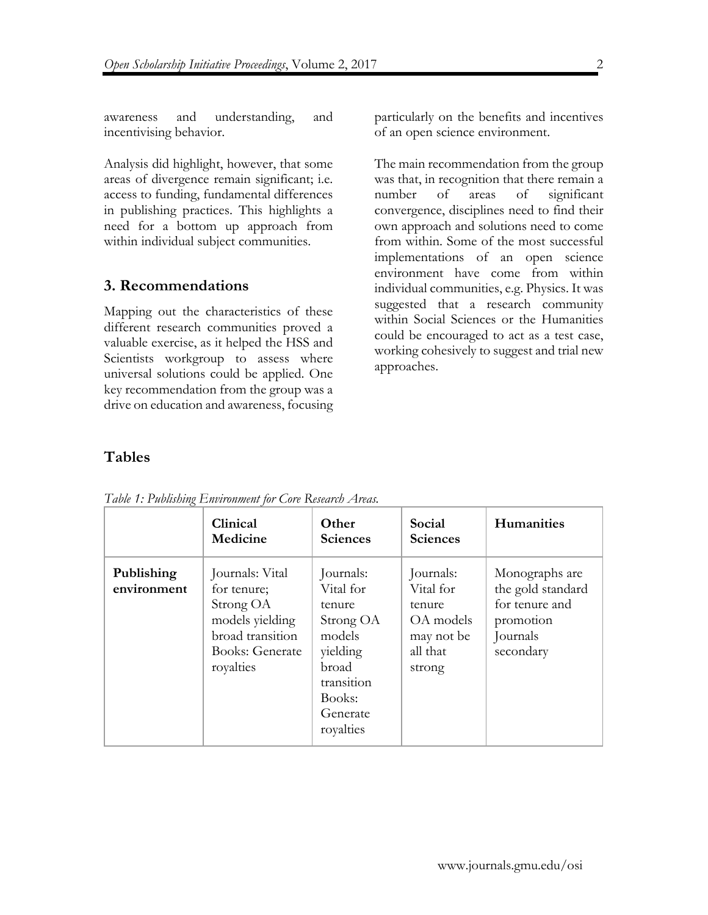awareness and understanding, and incentivising behavior.

Analysis did highlight, however, that some areas of divergence remain significant; i.e. access to funding, fundamental differences in publishing practices. This highlights a need for a bottom up approach from within individual subject communities.

## **3. Recommendations**

Mapping out the characteristics of these different research communities proved a valuable exercise, as it helped the HSS and Scientists workgroup to assess where universal solutions could be applied. One key recommendation from the group was a drive on education and awareness, focusing

particularly on the benefits and incentives of an open science environment.

The main recommendation from the group was that, in recognition that there remain a number of areas of significant convergence, disciplines need to find their own approach and solutions need to come from within. Some of the most successful implementations of an open science environment have come from within individual communities, e.g. Physics. It was suggested that a research community within Social Sciences or the Humanities could be encouraged to act as a test case, working cohesively to suggest and trial new approaches.

## **Tables**

|                           | Clinical<br>Medicine                                                                                                      | Other<br><b>Sciences</b>                                                                                                      | Social<br><b>Sciences</b>                                                         | <b>Humanities</b>                                                                           |
|---------------------------|---------------------------------------------------------------------------------------------------------------------------|-------------------------------------------------------------------------------------------------------------------------------|-----------------------------------------------------------------------------------|---------------------------------------------------------------------------------------------|
| Publishing<br>environment | Journals: Vital<br>for tenure;<br>Strong OA<br>models yielding<br>broad transition<br><b>Books: Generate</b><br>royalties | Journals:<br>Vital for<br>tenure<br>Strong OA<br>models<br>yielding<br>broad<br>transition<br>Books:<br>Generate<br>royalties | Journals:<br>Vital for<br>tenure<br>OA models<br>may not be<br>all that<br>strong | Monographs are<br>the gold standard<br>for tenure and<br>promotion<br>Journals<br>secondary |

*Table 1: Publishing Environment for Core Research Areas.* 

 $\mathfrak{D}$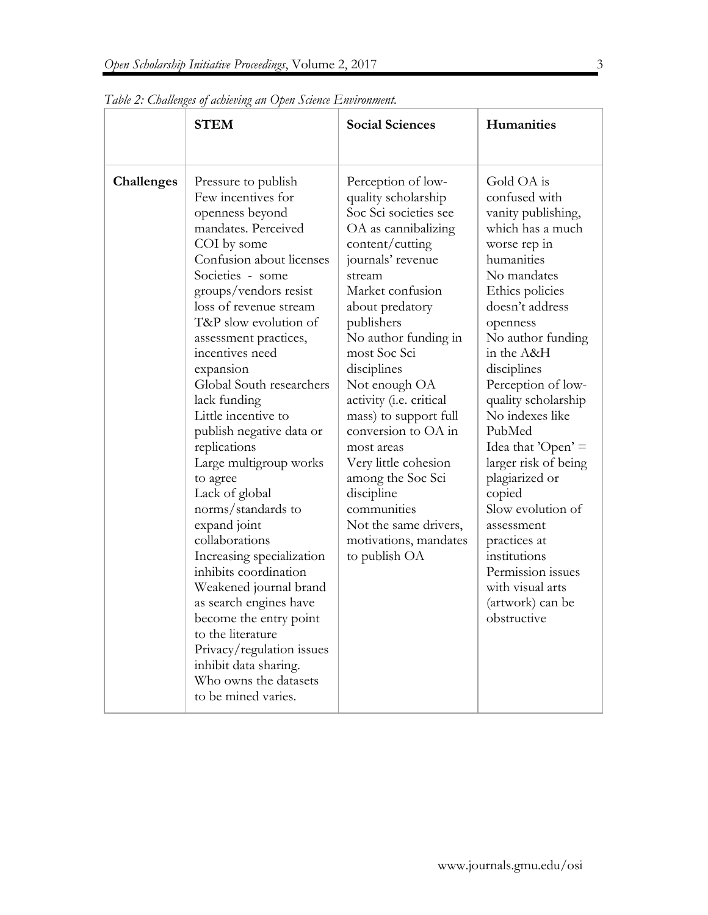|            | <b>STEM</b>                                                                                                                                                                                                                                                                                                                                                                                                                                                                                                                                                                                                                                                                                                                                                                           | <b>Social Sciences</b>                                                                                                                                                                                                                                                                                                                                                                                                                                                                                         | Humanities                                                                                                                                                                                                                                                                                                                                                                                                                                                                                                                   |
|------------|---------------------------------------------------------------------------------------------------------------------------------------------------------------------------------------------------------------------------------------------------------------------------------------------------------------------------------------------------------------------------------------------------------------------------------------------------------------------------------------------------------------------------------------------------------------------------------------------------------------------------------------------------------------------------------------------------------------------------------------------------------------------------------------|----------------------------------------------------------------------------------------------------------------------------------------------------------------------------------------------------------------------------------------------------------------------------------------------------------------------------------------------------------------------------------------------------------------------------------------------------------------------------------------------------------------|------------------------------------------------------------------------------------------------------------------------------------------------------------------------------------------------------------------------------------------------------------------------------------------------------------------------------------------------------------------------------------------------------------------------------------------------------------------------------------------------------------------------------|
| Challenges | Pressure to publish<br>Few incentives for<br>openness beyond<br>mandates. Perceived<br>COI by some<br>Confusion about licenses<br>Societies - some<br>groups/vendors resist<br>loss of revenue stream<br>T&P slow evolution of<br>assessment practices,<br>incentives need<br>expansion<br>Global South researchers<br>lack funding<br>Little incentive to<br>publish negative data or<br>replications<br>Large multigroup works<br>to agree<br>Lack of global<br>norms/standards to<br>expand joint<br>collaborations<br>Increasing specialization<br>inhibits coordination<br>Weakened journal brand<br>as search engines have<br>become the entry point<br>to the literature<br>Privacy/regulation issues<br>inhibit data sharing.<br>Who owns the datasets<br>to be mined varies. | Perception of low-<br>quality scholarship<br>Soc Sci societies see<br>OA as cannibalizing<br>content/cutting<br>journals' revenue<br>stream<br>Market confusion<br>about predatory<br>publishers<br>No author funding in<br>most Soc Sci<br>disciplines<br>Not enough OA<br>activity (i.e. critical<br>mass) to support full<br>conversion to OA in<br>most areas<br>Very little cohesion<br>among the Soc Sci<br>discipline<br>communities<br>Not the same drivers,<br>motivations, mandates<br>to publish OA | Gold OA is<br>confused with<br>vanity publishing,<br>which has a much<br>worse rep in<br>humanities<br>No mandates<br>Ethics policies<br>doesn't address<br>openness<br>No author funding<br>in the A&H<br>disciplines<br>Perception of low-<br>quality scholarship<br>No indexes like<br>PubMed<br>Idea that ' $Open' =$<br>larger risk of being<br>plagiarized or<br>copied<br>Slow evolution of<br>assessment<br>practices at<br>institutions<br>Permission issues<br>with visual arts<br>(artwork) can be<br>obstructive |

*Table 2: Challenges of achieving an Open Science Environment.*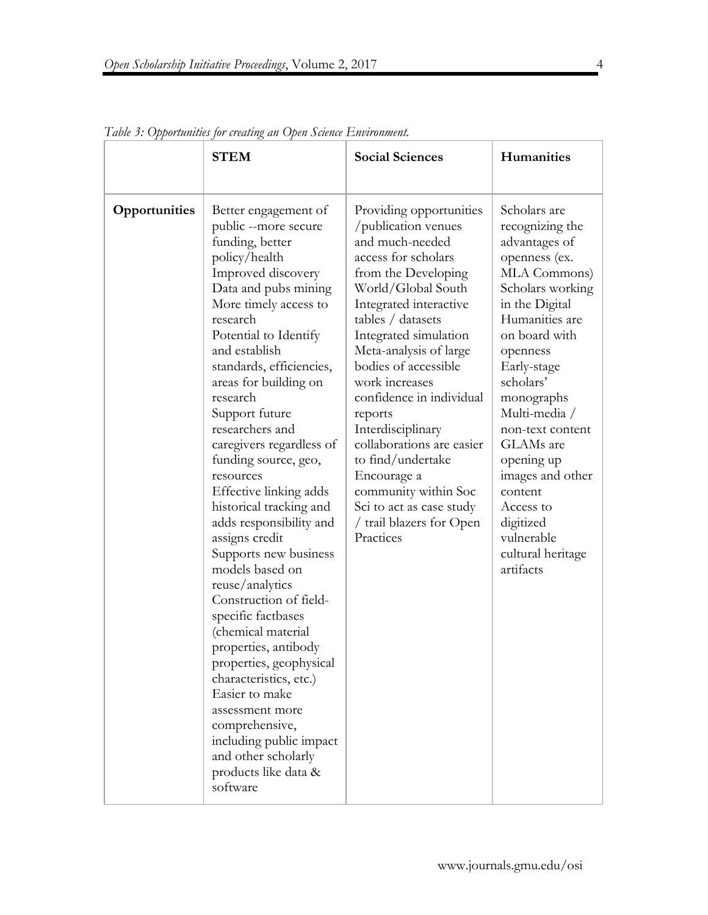|               | <b>STEM</b>                                                                                                                                                                                                                                                                                                                                                                                                                                                                                                                                                                                                                                                                                                                                                                                                                                           | <b>Social Sciences</b>                                                                                                                                                                                                                                                                                                                                                                                                                                                                                      | Humanities                                                                                                                                                                                                                                                                                                                                                                                |
|---------------|-------------------------------------------------------------------------------------------------------------------------------------------------------------------------------------------------------------------------------------------------------------------------------------------------------------------------------------------------------------------------------------------------------------------------------------------------------------------------------------------------------------------------------------------------------------------------------------------------------------------------------------------------------------------------------------------------------------------------------------------------------------------------------------------------------------------------------------------------------|-------------------------------------------------------------------------------------------------------------------------------------------------------------------------------------------------------------------------------------------------------------------------------------------------------------------------------------------------------------------------------------------------------------------------------------------------------------------------------------------------------------|-------------------------------------------------------------------------------------------------------------------------------------------------------------------------------------------------------------------------------------------------------------------------------------------------------------------------------------------------------------------------------------------|
| Opportunities | Better engagement of<br>public --more secure<br>funding, better<br>policy/health<br>Improved discovery<br>Data and pubs mining<br>More timely access to<br>research<br>Potential to Identify<br>and establish<br>standards, efficiencies,<br>areas for building on<br>research<br>Support future<br>researchers and<br>caregivers regardless of<br>funding source, geo,<br>resources<br>Effective linking adds<br>historical tracking and<br>adds responsibility and<br>assigns credit<br>Supports new business<br>models based on<br>reuse/analytics<br>Construction of field-<br>specific factbases<br>(chemical material<br>properties, antibody<br>properties, geophysical<br>characteristics, etc.)<br>Easier to make<br>assessment more<br>comprehensive,<br>including public impact<br>and other scholarly<br>products like data &<br>software | Providing opportunities<br>/publication venues<br>and much-needed<br>access for scholars<br>from the Developing<br>World/Global South<br>Integrated interactive<br>tables / datasets<br>Integrated simulation<br>Meta-analysis of large<br>bodies of accessible<br>work increases<br>confidence in individual<br>reports<br>Interdisciplinary<br>collaborations are easier<br>to find/undertake<br>Encourage a<br>community within Soc<br>Sci to act as case study<br>/ trail blazers for Open<br>Practices | Scholars are<br>recognizing the<br>advantages of<br>openness (ex.<br>MLA Commons)<br>Scholars working<br>in the Digital<br>Humanities are<br>on board with<br>openness<br>Early-stage<br>scholars'<br>monographs<br>Multi-media /<br>non-text content<br>GLAMs are<br>opening up<br>images and other<br>content<br>Access to<br>digitized<br>vulnerable<br>cultural heritage<br>artifacts |

*Table 3: Opportunities for creating an Open Science Environment.*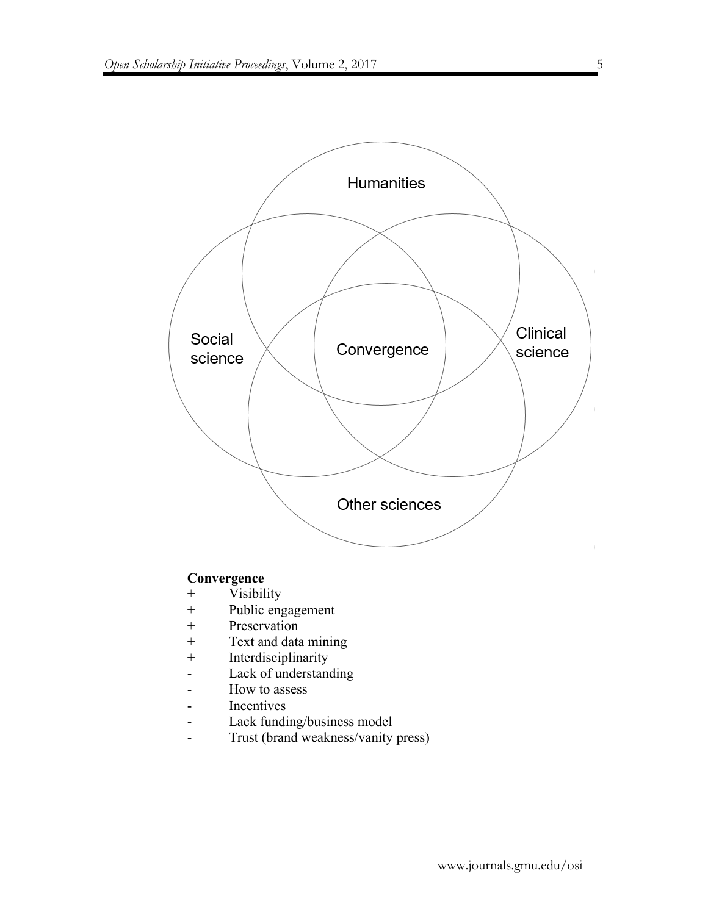

## **Convergence**

- + Visibility
- + Public engagement
- + Preservation
- + Text and data mining
- + Interdisciplinarity
- Lack of understanding
- How to assess
- Incentives
- Lack funding/business model
- Trust (brand weakness/vanity press)

5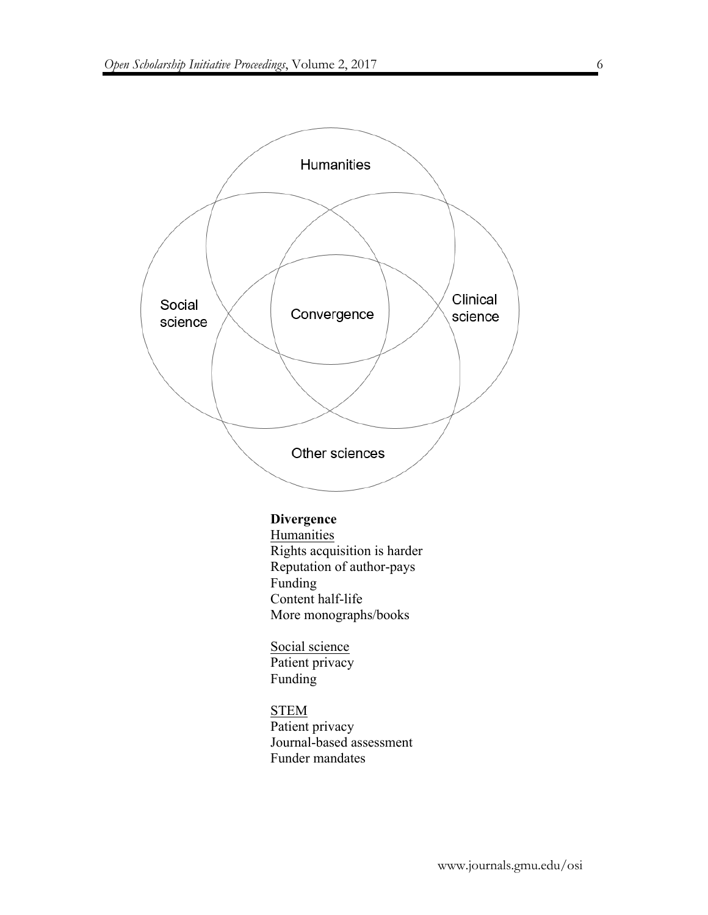

# **Divergence**

Humanities Rights acquisition is harder Reputation of author-pays Funding Content half-life More monographs/books

Social science Patient privacy Funding

**STEM** Patient privacy Journal-based assessment Funder mandates

6